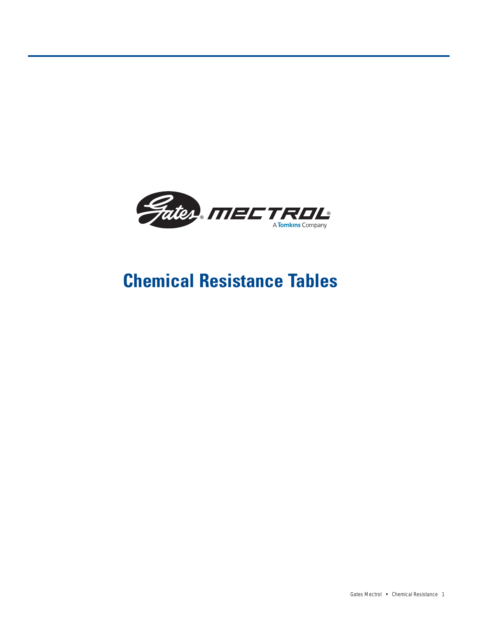

# **Chemical Resistance Tables**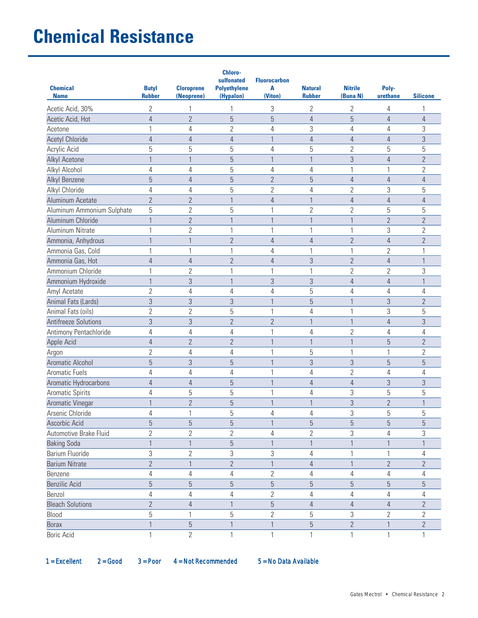| <b>Chemical</b><br><b>Name</b> | <b>Butyl</b><br><b>Rubber</b> | <b>Cloroprene</b><br>(Neoprene) | <b>Chloro-</b><br>sulfonated<br><b>Polyethylene</b><br>(Hypalon) | <b>Fluorocarbon</b><br>A<br>(Viton) | <b>Natural</b><br><b>Rubber</b> | <b>Nitrile</b><br>(Buna N) | Poly-<br>urethane | <b>Silicone</b> |
|--------------------------------|-------------------------------|---------------------------------|------------------------------------------------------------------|-------------------------------------|---------------------------------|----------------------------|-------------------|-----------------|
| Acetic Acid, 30%               | 2                             | 1                               | 1                                                                | 3                                   | $\overline{2}$                  | $\overline{2}$             | 4                 | 1               |
| Acetic Acid, Hot               | $\overline{4}$                | $\overline{2}$                  | $\overline{5}$                                                   | $\overline{5}$                      | $\overline{4}$                  | 5                          | $\overline{4}$    | $\overline{4}$  |
| Acetone                        | 1                             | 4                               | $\overline{2}$                                                   | 4                                   | 3                               | 4                          | 4                 | 3               |
| <b>Acetyl Chloride</b>         | $\overline{4}$                | $\overline{4}$                  | $\overline{4}$                                                   | $\mathbf{1}$                        | $\overline{4}$                  | $\overline{4}$             | $\overline{4}$    | 3               |
| Acrylic Acid                   | 5                             | 5                               | 5                                                                | 4                                   | 5                               | $\overline{2}$             | 5                 | 5               |
| Alkyl Acetone                  | 1                             | 1                               | 5                                                                | $\mathbf{1}$                        | 1                               | $\sqrt{3}$                 | 4                 | $\overline{2}$  |
| Alkyl Alcohol                  | 4                             | 4                               | 5                                                                | 4                                   | $\overline{4}$                  | $\mathbf{1}$               | 1                 | $\overline{2}$  |
| Alkyl Benzene                  | 5                             | $\sqrt{4}$                      | 5                                                                | $\overline{2}$                      | 5                               | $\overline{4}$             | $\overline{4}$    | $\overline{4}$  |
| Alkyl Chloride                 | 4                             | 4                               | 5                                                                | $\overline{2}$                      | 4                               | $\overline{2}$             | 3                 | 5               |
| Aluminum Acetate               | $\overline{2}$                | $\overline{2}$                  | $\mathbf{1}$                                                     | $\overline{4}$                      | 1                               | $\overline{4}$             | $\overline{4}$    | $\overline{4}$  |
| Aluminum Ammonium Sulphate     | 5                             | $\overline{2}$                  | 5                                                                | $\overline{1}$                      | $\overline{2}$                  | $\overline{2}$             | 5                 | 5               |
| Aluminum Chloride              | $\mathbf{1}$                  | $\overline{2}$                  | $\mathbf{1}$                                                     | $\mathbf{1}$                        | 1                               | $\mathbf{1}$               | $\overline{2}$    | $\overline{2}$  |
| Aluminum Nitrate               | 1                             | $\overline{2}$                  | 1                                                                | $\overline{1}$                      | 1                               | $\mathbf{1}$               | 3                 | $\overline{2}$  |
| Ammonia, Anhydrous             | $\mathbf{1}$                  | $\mathbf{1}$                    | $\overline{2}$                                                   | $\overline{4}$                      | $\overline{4}$                  | $\overline{2}$             | $\overline{4}$    | $\overline{2}$  |
| Ammonia Gas, Cold              | 1                             | 1                               | 1                                                                | 4                                   | 1                               | 1                          | $\overline{2}$    | 1               |
| Ammonia Gas, Hot               | $\overline{4}$                | $\overline{4}$                  | $\overline{2}$                                                   | $\overline{4}$                      | 3                               | $\overline{2}$             | $\overline{4}$    | 1               |
| Ammonium Chloride              | 1                             | $\overline{2}$                  | 1                                                                | 1                                   | 1                               | 2                          | $\overline{2}$    | 3               |
| Ammonium Hydroxide             | $\mathbf{1}$                  | 3                               | $\mathbf{1}$                                                     | 3                                   | 3                               | $\overline{4}$             | $\overline{4}$    | 1               |
| Amyl Acetate                   | $\overline{2}$                | 4                               | $\overline{4}$                                                   | 4                                   | 5                               | 4                          | 4                 | 4               |
| Animal Fats (Lards)            | 3                             | 3                               | 3                                                                | $\mathbf{1}$                        | $\overline{5}$                  | $\mathbf{1}$               | 3                 | $\overline{2}$  |
| Animal Fats (oils)             | $\overline{2}$                | $\overline{2}$                  | 5                                                                | $\overline{1}$                      | 4                               | 1                          | 3                 | 5               |
| <b>Antifreeze Solutions</b>    | 3                             | 3                               | $\overline{2}$                                                   | $\overline{2}$                      | 1                               | $\mathbf{1}$               | $\overline{4}$    | 3               |
| Antimony Pentachloride         | 4                             | 4                               | 4                                                                | $\mathbf{1}$                        | $\overline{4}$                  | $\overline{2}$             | 4                 | 4               |
| Apple Acid                     | $\overline{4}$                | $\overline{2}$                  | $\overline{2}$                                                   | $\mathbf{1}$                        | 1                               | $\mathbf{1}$               | 5                 | $\overline{2}$  |
| Argon                          | $\overline{2}$                | 4                               | $\overline{4}$                                                   | 1                                   | 5                               | $\mathbf{1}$               | 1                 | $\overline{2}$  |
| Aromatic Alcohol               | 5                             | 3                               | 5                                                                | $\overline{1}$                      | 3                               | 3                          | 5                 | 5               |
| Aromatic Fuels                 | 4                             | 4                               | $\overline{4}$                                                   | $\mathbf{1}$                        | $\overline{4}$                  | $\overline{2}$             | 4                 | 4               |
| Aromatic Hydrocarbons          | $\overline{4}$                | $\overline{4}$                  | 5                                                                | $\mathbf{1}$                        | $\overline{4}$                  | $\overline{4}$             | 3                 | 3               |
| Aromatic Spirits               | 4                             | 5                               | 5                                                                | $\mathbf{1}$                        | $\overline{4}$                  | 3                          | 5                 | 5               |
| Aromatic Vinegar               | 1                             | $\overline{2}$                  | 5                                                                | 1                                   | 1                               | $\sqrt{3}$                 | $\overline{2}$    |                 |
| Arsenic Chloride               | 4                             | 1                               | 5                                                                | 4                                   | 4                               | 3                          | 5                 | 5               |
| Ascorbic Acid                  | 5                             | $\sqrt{5}$                      | $\overline{5}$                                                   | $\mathbf{1}$                        | 5                               | $\sqrt{5}$                 | 5                 | 5               |
| Automotive Brake Fluid         | $\overline{2}$                | $\overline{2}$                  | $\overline{2}$                                                   | 4                                   | $\overline{2}$                  | 3                          | 4                 | 3               |
| <b>Baking Soda</b>             | $\mathbf{1}$                  | $\mathbf{1}$                    | 5                                                                | $\mathbf{1}$                        | $\mathbf{1}$                    | $\mathbf{1}$               | $\mathbf{1}$      | 1               |
| Barium Fluoride                | 3                             | $\overline{2}$                  | 3                                                                | 3                                   | $\overline{4}$                  | 1                          | 1                 | 4               |
| <b>Barium Nitrate</b>          | $\overline{2}$                | $\mathbf{1}$                    | $\overline{2}$                                                   | $\mathbf{1}$                        | $\overline{4}$                  | $\mathbf{1}$               | $\mathbf{2}$      | $\overline{2}$  |
| Benzene                        | 4                             | 4                               | $\overline{4}$                                                   | $\overline{2}$                      | 4                               | 4                          | 4                 | 4               |
| <b>Benzilic Acid</b>           | 5                             | 5                               | $\overline{5}$                                                   | $\overline{5}$                      | 5                               | $\overline{5}$             | 5                 | 5               |
| Benzol                         | 4                             | 4                               | 4                                                                | $\mathbf{2}$                        | 4                               | 4                          | 4                 | 4               |
| <b>Bleach Solutions</b>        | $\overline{2}$                | $\sqrt{4}$                      | $\mathbf{1}$                                                     | $\overline{5}$                      | $\overline{4}$                  | $\overline{4}$             | 4                 | $\overline{2}$  |
| Blood                          | 5                             | 1                               | 5                                                                | $\overline{2}$                      | 5                               | 3                          | 2                 | 2               |
| <b>Borax</b>                   | $\mathbf{1}$                  | 5                               | $\mathbf{1}$                                                     | $\mathbf{1}$                        | 5                               | $\mathbf{2}$               | $\mathbf{1}$      | $\overline{2}$  |
| <b>Boric Acid</b>              | $\mathbf{1}$                  | $\overline{2}$                  | $\mathbf{1}$                                                     | $\mathbf{1}$                        | $\mathbf{1}$                    | $\mathbf{1}$               | $\mathbf{1}$      | 1               |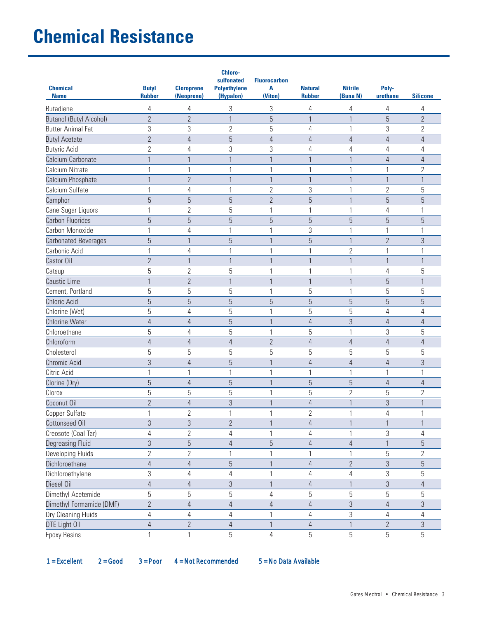| <b>Chemical</b><br><b>Name</b> | <b>Butyl</b><br><b>Rubber</b> | <b>Cloroprene</b><br>(Neoprene) | <b>Chloro-</b><br>sulfonated<br><b>Polyethylene</b><br>(Hypalon) | <b>Fluorocarbon</b><br>A<br>(Viton) | <b>Natural</b><br><b>Rubber</b> | <b>Nitrile</b><br>(Buna N) | Poly-<br>urethane | <b>Silicone</b> |
|--------------------------------|-------------------------------|---------------------------------|------------------------------------------------------------------|-------------------------------------|---------------------------------|----------------------------|-------------------|-----------------|
| <b>Butadiene</b>               | 4                             | 4                               | 3                                                                | 3                                   | 4                               | 4                          | 4                 | 4               |
| <b>Butanol (Butyl Alcohol)</b> | $\overline{2}$                | $\overline{2}$                  | $\mathbf{1}$                                                     | 5                                   | 1                               | $\mathbf{1}$               | 5                 | $\overline{2}$  |
| <b>Butter Animal Fat</b>       | 3                             | 3                               | $\overline{2}$                                                   | 5                                   | 4                               | 1                          | 3                 | 2               |
| <b>Butyl Acetate</b>           | $\overline{2}$                | $\overline{4}$                  | 5                                                                | $\overline{4}$                      | $\overline{4}$                  | $\overline{4}$             | $\overline{4}$    | 4               |
| <b>Butyric Acid</b>            | $\overline{2}$                | 4                               | 3                                                                | 3                                   | 4                               | 4                          | 4                 | 4               |
| Calcium Carbonate              |                               |                                 |                                                                  | 1                                   |                                 | 1                          | 4                 | 4               |
| Calcium Nitrate                | $\mathbf{1}$                  | 1                               | 1                                                                | 1                                   | 1                               | 1                          | 1                 | 2               |
| Calcium Phosphate              | $\mathbf{1}$                  | $\overline{2}$                  | 1                                                                | 1                                   | 1                               | $\mathbf{1}$               | $\mathbf{1}$      | 1               |
| Calcium Sulfate                | $\mathbf{1}$                  | 4                               | 1                                                                | $\overline{2}$                      | 3                               | 1                          | $\sqrt{2}$        | 5               |
| Camphor                        | 5                             | 5                               | 5                                                                | $\overline{2}$                      | 5                               | $\mathbf{1}$               | 5                 | 5               |
| Cane Sugar Liquors             | $\mathbf{1}$                  | $\overline{2}$                  | 5                                                                | 1                                   | 1                               | 1                          | 4                 |                 |
| <b>Carbon Fluorides</b>        | 5                             | $\overline{5}$                  | $\overline{5}$                                                   | 5                                   | 5                               | 5                          | $\overline{5}$    | 5               |
| Carbon Monoxide                | $\mathbf{1}$                  | 4                               | 1                                                                | 1                                   | 3                               | 1                          | 1                 |                 |
| <b>Carbonated Beverages</b>    | $\overline{5}$                | $\mathbf{1}$                    | 5                                                                | 1                                   | 5                               | $\mathbf{1}$               | $\overline{2}$    | 3               |
| Carbonic Acid                  | $\mathbf{1}$                  | 4                               | 1                                                                | 1                                   | 1                               | $\overline{2}$             | 1                 | 1               |
| Castor Oil                     | $\overline{2}$                | $\mathbf{1}$                    | $\mathbf{1}$                                                     | $\mathbf{1}$                        | 1                               | $\mathbf{1}$               | $\mathbf{1}$      | 1               |
| Catsup                         | 5                             | $\overline{2}$                  | 5                                                                | 1                                   |                                 | 1                          | 4                 | 5               |
| Caustic Lime                   | 1                             | $\overline{2}$                  |                                                                  | 1                                   |                                 |                            | $\overline{5}$    |                 |
| Cement, Portland               | 5                             | 5                               | 5                                                                | 1                                   | 5                               | 1                          | 5                 | 5               |
| <b>Chloric Acid</b>            | 5                             | 5                               | 5                                                                | 5                                   | 5                               | 5                          | 5                 | 5               |
| Chlorine (Wet)                 | 5                             | $\overline{4}$                  | 5                                                                | 1                                   | 5                               | 5                          | 4                 | 4               |
| <b>Chlorine Water</b>          | $\overline{4}$                | $\overline{4}$                  | 5                                                                | $\mathbf{1}$                        | $\overline{4}$                  | 3                          | $\overline{4}$    | $\overline{4}$  |
| Chloroethane                   | 5                             | 4                               | 5                                                                | 1                                   | 5                               | 1                          | 3                 | 5               |
| Chloroform                     | $\overline{4}$                | $\overline{4}$                  | 4                                                                | $\overline{2}$                      | $\overline{4}$                  | 4                          | $\overline{4}$    | 4               |
| Cholesterol                    | 5                             | 5                               | 5                                                                | 5                                   | 5                               | 5                          | 5                 | 5               |
| Chromic Acid                   | 3                             | $\overline{4}$                  | 5                                                                | 1                                   | $\overline{4}$                  | $\overline{4}$             | 4                 | 3               |
| Citric Acid                    | $\mathbf{1}$                  | 1                               | 1                                                                | $\mathbf{1}$                        | 1                               | 1                          | $\mathbf 1$       |                 |
| Clorine (Dry)                  | 5                             | $\overline{4}$                  | 5                                                                | $\mathbf{1}$                        | 5                               | 5                          | $\overline{4}$    | 4               |
| Clorox                         | 5                             | 5                               | 5                                                                | 1                                   | 5                               | $\overline{2}$             | 5                 | 2               |
| Coconut Oil                    | $\overline{2}$                | $\overline{4}$                  | 3                                                                | 1                                   | 4                               | 1                          | 3                 |                 |
| Copper Sulfate                 | 1                             | $\overline{2}$                  | 1                                                                | 1                                   | $\overline{2}$                  | 1                          | 4                 | 1               |
| Cottonseed Oil                 | $\mathfrak{Z}$                | $\sqrt{3}$                      | $\mathbf{2}$                                                     | 1                                   | $\overline{4}$                  | 1                          | 1                 | 1               |
| Creosote (Coal Tar)            | $\overline{4}$                | $\overline{2}$                  | 4                                                                | $\mathbf{1}$                        | $\overline{4}$                  | 1                          | 3                 | 4               |
| <b>Degreasing Fluid</b>        | $\sqrt{3}$                    | $\overline{5}$                  | $\overline{4}$                                                   | $\overline{5}$                      | $\overline{4}$                  | $\sqrt{4}$                 | $\mathbf{1}$      | 5               |
| Developing Fluids              | $\mathbf{2}$                  | $\overline{2}$                  |                                                                  | 1                                   |                                 | 1                          | 5                 | 2               |
| Dichloroethane                 | $\overline{4}$                | $\overline{4}$                  | 5                                                                | 1                                   | 4                               | $\mathbf{2}$               | 3                 | 5               |
| Dichloroethylene               | $\sqrt{3}$                    | $\sqrt{4}$                      | 4                                                                | 1                                   | 4                               | $\sqrt{4}$                 | 3                 | 5               |
| Diesel Oil                     | $\overline{4}$                | $\sqrt{4}$                      | 3                                                                | 1                                   | $\overline{4}$                  | $\mathbf{1}$               | $\mathfrak{Z}$    | 4               |
| Dimethyl Acetemide             | 5                             | $\sqrt{5}$                      | 5                                                                | 4                                   | 5                               | 5                          | 5                 | 5               |
| Dimethyl Formamide (DMF)       | $\sqrt{2}$                    | $\overline{4}$                  | $\overline{4}$                                                   | $\overline{4}$                      | $\overline{4}$                  | $\mathfrak{Z}$             | $\overline{4}$    | 3               |
| Dry Cleaning Fluids            | $\overline{4}$                | $\overline{4}$                  | 4                                                                | 1                                   | 4                               | 3                          | $\overline{4}$    | 4               |
| DTE Light Oil                  | $\overline{4}$                | $\overline{2}$                  | 4                                                                | $\mathbf{1}$                        | $\overline{4}$                  |                            | $\mathbf{2}$      | 3               |
| <b>Epoxy Resins</b>            | $\mathbf{1}$                  | $\mathbf{1}$                    | 5                                                                | $\sqrt{4}$                          | 5                               | 5                          | $\overline{5}$    | 5               |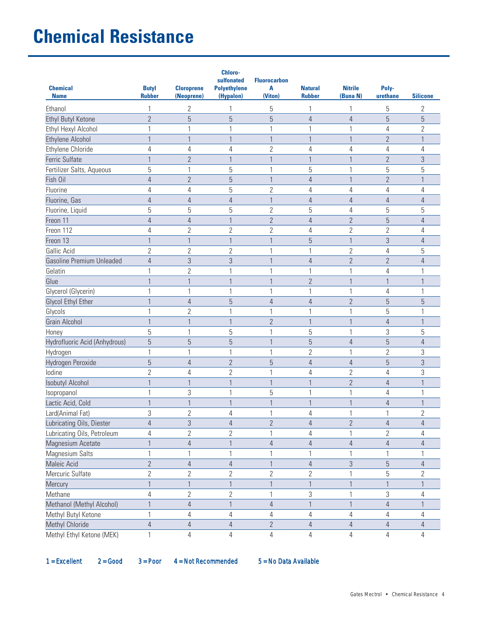| <b>Chemical</b><br><b>Name</b>   | <b>Butyl</b><br><b>Rubber</b> | <b>Cloroprene</b><br>(Neoprene) | Chloro-<br>sulfonated<br><b>Polyethylene</b><br>(Hypalon) | <b>Fluorocarbon</b><br>A<br>(Viton) | <b>Natural</b><br><b>Rubber</b> | <b>Nitrile</b><br>(Buna N) | Poly-<br>urethane | <b>Silicone</b> |
|----------------------------------|-------------------------------|---------------------------------|-----------------------------------------------------------|-------------------------------------|---------------------------------|----------------------------|-------------------|-----------------|
| Ethanol                          | 1                             | $\overline{2}$                  | 1                                                         | 5                                   | 1                               | 1                          | 5                 | $\overline{2}$  |
| Ethyl Butyl Ketone               | $\overline{2}$                | 5                               | 5                                                         | $\overline{5}$                      | 4                               | $\overline{4}$             | 5                 | 5               |
| Ethyl Hexyl Alcohol              | 1                             | 1                               | 1                                                         | $\mathbf{1}$                        | 1                               | 1                          | 4                 | $\overline{2}$  |
| <b>Ethylene Alcohol</b>          | $\mathbf{1}$                  | $\mathbf{1}$                    | $\mathbf{1}$                                              | $\mathbf{1}$                        | 1                               | $\mathbf{1}$               | $\overline{2}$    | $\mathbf{1}$    |
| Ethylene Chloride                | 4                             | 4                               | 4                                                         | $\overline{2}$                      | 4                               | 4                          | 4                 | 4               |
| Ferric Sulfate                   | $\mathbf{1}$                  | $\overline{2}$                  | 1                                                         | 1                                   | 1                               | $\mathbf{1}$               | $\overline{2}$    | 3               |
| Fertilizer Salts, Aqueous        | 5                             | 1                               | 5                                                         | $\mathbf{1}$                        | 5                               | $\mathbf{1}$               | 5                 | 5               |
| Fish Oil                         | $\overline{4}$                | $\overline{2}$                  | 5                                                         | $\mathbf{1}$                        | 4                               | $\mathbf{1}$               | $\overline{2}$    | $\mathbf{1}$    |
| Fluorine                         | 4                             | 4                               | 5                                                         | $\overline{2}$                      | 4                               | 4                          | 4                 | 4               |
| Fluorine, Gas                    | $\overline{4}$                | $\overline{4}$                  | $\overline{4}$                                            | $\mathbf{1}$                        | 4                               | $\overline{4}$             | $\overline{4}$    | $\overline{4}$  |
| Fluorine, Liquid                 | 5                             | 5                               | 5                                                         | $\overline{2}$                      | 5                               | 4                          | 5                 | 5               |
| Freon 11                         | $\overline{4}$                | 4                               | 1                                                         | $\overline{2}$                      | $\overline{4}$                  | $\overline{2}$             | 5                 | 4               |
| Freon 112                        | $\overline{4}$                | $\overline{2}$                  | $\overline{2}$                                            | $\overline{2}$                      | 4                               | $\overline{2}$             | $\overline{2}$    | 4               |
| Freon 13                         | $\mathbf{1}$                  | $\mathbf{1}$                    | $\mathbf{1}$                                              | $\mathbf{1}$                        | 5                               | $\mathbf{1}$               | 3                 | $\overline{4}$  |
| Gallic Acid                      | $\overline{2}$                | $\sqrt{2}$                      | $\overline{2}$                                            | $\mathbf{1}$                        | 1                               | $\overline{2}$             | 4                 | 5               |
| <b>Gasoline Premium Unleaded</b> | $\overline{4}$                | 3                               | 3                                                         | $\mathbf{1}$                        | 4                               | $\overline{2}$             | $\overline{2}$    | $\overline{4}$  |
| Gelatin                          | 1                             | $\overline{2}$                  | 1                                                         | $\mathbf{1}$                        | 1                               | 1                          | 4                 | 1               |
| Glue                             |                               |                                 |                                                           | $\overline{1}$                      | $\overline{2}$                  | $\mathbf{1}$               | 1                 |                 |
| Glycerol (Glycerin)              | $\mathbf{1}$                  | 1                               | 1                                                         | $\mathbf{1}$                        | 1                               | $\mathbf{1}$               | 4                 | 1               |
| Glycol Ethyl Ether               | $\mathbf{1}$                  | 4                               | 5                                                         | $\overline{4}$                      | 4                               | $\overline{2}$             | 5                 | 5               |
| Glycols                          | 1                             | $\overline{2}$                  | 1                                                         | $\mathbf{1}$                        | 1                               | 1                          | 5                 | 1               |
| <b>Grain Alcohol</b>             | $\mathbf{1}$                  | $\mathbf{1}$                    | $\mathbf{1}$                                              | $\overline{2}$                      | 1                               | $\mathbf{1}$               | $\overline{4}$    | $\mathbf{1}$    |
| Honey                            | 5                             | 1                               | 5                                                         | $\overline{1}$                      | 5                               | 1                          | 3                 | 5               |
| Hydrofluoric Acid (Anhydrous)    | 5                             | 5                               | 5                                                         | $\overline{1}$                      | 5                               | $\overline{4}$             | 5                 | $\overline{4}$  |
| Hydrogen                         | $\mathbf{1}$                  | 1                               | 1                                                         | $\mathbf{1}$                        | $\overline{2}$                  | $\mathbf{1}$               | $\overline{2}$    | 3               |
| Hydrogen Peroxide                | $\overline{5}$                | 4                               | $\overline{2}$                                            | 5                                   | 4                               | $\overline{4}$             | 5                 | 3               |
| lodine                           | $\overline{2}$                | 4                               | $\overline{2}$                                            | $\mathbf{1}$                        | 4                               | $\overline{2}$             | 4                 | 3               |
| <b>Isobutyl Alcohol</b>          | $\mathbf{1}$                  | $\mathbf{1}$                    | $\mathbf{1}$                                              | $\mathbf{1}$                        | $\mathbf{1}$                    | $\overline{2}$             | $\overline{4}$    | $\mathbf{1}$    |
| Isopropanol                      | 1                             | 3                               | 1                                                         | 5                                   | 1                               | 1                          | 4                 | 1               |
| Lactic Acid, Cold                |                               | 1                               |                                                           |                                     | 1                               | $\mathbf{1}$               | 4                 | 1               |
| Lard(Animal Fat)                 | 3                             | $\overline{2}$                  | 4                                                         | $\mathbf{1}$                        | 4                               | 1                          | 1                 | $\overline{2}$  |
| Lubricating Oils, Diester        | $\overline{4}$                | 3                               | 4                                                         | $\overline{2}$                      | 4                               | $\overline{2}$             | $\overline{4}$    | 4               |
| Lubricating Oils, Petroleum      | 4                             | $\overline{2}$                  | $\overline{2}$                                            | $\mathbf{1}$                        | 4                               | $\mathbf{1}$               | $\overline{2}$    | 4               |
| Magnesium Acetate                | $\mathbf{1}$                  | $\sqrt{4}$                      | $\mathbf{1}$                                              | $\overline{4}$                      | $\overline{4}$                  | $\overline{4}$             | $\overline{4}$    | 4               |
| <b>Magnesium Salts</b>           | 1                             | 1                               | 1                                                         |                                     | 1                               | 1                          | 1                 | 1               |
| Maleic Acid                      | $\overline{2}$                | 4                               | 4                                                         | $\mathbf 1$                         | $\overline{4}$                  | 3                          | 5                 | 4               |
| Mercuric Sulfate                 | $\overline{2}$                | $\overline{2}$                  | $\overline{2}$                                            | $\overline{2}$                      | 2                               | 1                          | 5                 | $\overline{2}$  |
| Mercury                          | $\mathbf{1}$                  | $\mathbf{1}$                    | $\mathbf{1}$                                              | $\mathbf{1}$                        | $\mathbf{1}$                    | $\mathbf{1}$               | $\mathbf{1}$      | $\mathbf{1}$    |
| Methane                          | 4                             | $\overline{2}$                  | $\overline{2}$                                            | $\mathbf{1}$                        | 3                               | 1                          | 3                 | 4               |
| Methanol (Methyl Alcohol)        | $\mathbf{1}$                  | $\sqrt{4}$                      | $\mathbf{1}$                                              | $\overline{4}$                      | $\mathbf{1}$                    | $\mathbf{1}$               | $\overline{4}$    | $\mathbf{1}$    |
| Methyl Butyl Ketone              | 1                             | 4                               | 4                                                         | 4                                   | $\overline{4}$                  | 4                          | 4                 | 4               |
| Methyl Chloride                  | $\overline{4}$                | 4                               | 4                                                         | $\mathbf{2}$                        | $\overline{4}$                  | 4                          | 4                 | 4               |
| Methyl Ethyl Ketone (MEK)        | $\mathbf{1}$                  | 4                               | $\overline{4}$                                            | 4                                   | $\overline{4}$                  | 4                          | $\overline{4}$    | $\overline{4}$  |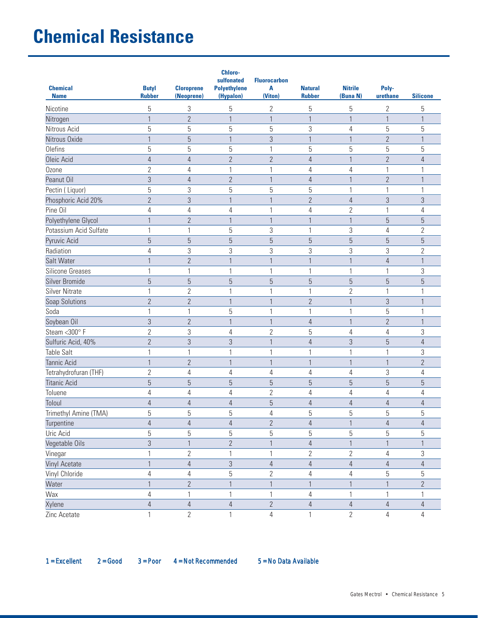| <b>Chemical</b><br><b>Name</b> | <b>Butyl</b><br><b>Rubber</b> | <b>Cloroprene</b><br>(Neoprene) | <b>Chloro-</b><br>sulfonated<br><b>Polyethylene</b><br>(Hypalon) | <b>Fluorocarbon</b><br>A<br>(Viton) | <b>Natural</b><br><b>Rubber</b> | <b>Nitrile</b><br>(Buna N) | Poly-<br>urethane | <b>Silicone</b> |
|--------------------------------|-------------------------------|---------------------------------|------------------------------------------------------------------|-------------------------------------|---------------------------------|----------------------------|-------------------|-----------------|
| Nicotine                       | 5                             | $\sqrt{3}$                      | 5                                                                | $\overline{2}$                      | 5                               | 5                          | $\overline{2}$    | 5               |
| Nitrogen                       | 1                             | $\overline{2}$                  | $\mathbf{1}$                                                     | $\mathbf{1}$                        | $\mathbf{1}$                    | $\overline{1}$             | $\mathbf{1}$      | 1               |
| Nitrous Acid                   | 5                             | 5                               | 5                                                                | $\overline{5}$                      | 3                               | $\overline{4}$             | 5                 | 5               |
| Nitrous Oxide                  | 1                             | 5                               | $\mathbf{1}$                                                     | 3                                   | $\mathbf{1}$                    | $\mathbf{1}$               | $\overline{2}$    | $\mathbf{1}$    |
| Olefins                        | 5                             | 5                               | 5                                                                | 1                                   | 5                               | 5                          | 5                 | 5               |
| Oleic Acid                     | $\overline{4}$                | $\overline{4}$                  | $\overline{2}$                                                   | $\overline{2}$                      | $\overline{4}$                  | $\mathbf{1}$               | $\overline{2}$    | 4               |
| Ozone                          | $\overline{2}$                | 4                               | 1                                                                | 1                                   | $\overline{4}$                  | 4                          | $\mathbf{1}$      | 1               |
| Peanut Oil                     | $\mathfrak{Z}$                | $\overline{4}$                  | $\overline{2}$                                                   | $\mathbf{1}$                        | $\overline{4}$                  | $\mathbf{1}$               | $\overline{2}$    | 1               |
| Pectin (Liquor)                | 5                             | 3                               | 5                                                                | 5                                   | 5                               | 1                          | 1                 | 1               |
| Phosphoric Acid 20%            | $\overline{2}$                | $\mathfrak{Z}$                  | $\mathbf{1}$                                                     | $\mathbf{1}$                        | $\overline{2}$                  | $\overline{4}$             | 3                 | 3               |
| Pine Oil                       | 4                             | 4                               | 4                                                                | 1                                   | 4                               | $\overline{2}$             | 1                 | 4               |
| Polyethylene Glycol            | 1                             | $\overline{2}$                  | 1                                                                | $\mathbf{1}$                        |                                 | $\mathbf{1}$               | $\overline{5}$    | 5               |
| Potassium Acid Sulfate         | 1                             | $\mathbf{1}$                    | 5                                                                | 3                                   | $\mathbf{1}$                    | $\sqrt{3}$                 | $\overline{4}$    | $\overline{2}$  |
| Pyruvic Acid                   | 5                             | 5                               | 5                                                                | 5                                   | 5                               | 5                          | 5                 | 5               |
| Radiation                      | 4                             | 3                               | 3                                                                | 3                                   | 3                               | 3                          | 3                 | $\overline{2}$  |
| Salt Water                     | $\mathbf{1}$                  | $\overline{2}$                  | $\mathbf{1}$                                                     | $\mathbf{1}$                        | $\mathbf{1}$                    | $\mathbf{1}$               | $\overline{4}$    | $\mathbf{1}$    |
| Silicone Greases               | 1                             | 1                               | 1                                                                | 1                                   | 1                               | 1                          | 1                 | 3               |
| Silver Bromide                 | 5                             | 5                               | 5                                                                | 5                                   | 5                               | 5                          | $\overline{5}$    | 5               |
| <b>Silver Nitrate</b>          | 1                             | $\overline{2}$                  | 1                                                                | 1                                   | $\mathbf{1}$                    | $\overline{2}$             | 1                 | 1               |
| Soap Solutions                 | $\overline{2}$                | $\overline{2}$                  | 1                                                                | $\mathbf{1}$                        | $\overline{2}$                  | $\overline{1}$             | 3                 | 1               |
| Soda                           | 1                             | 1                               | 5                                                                | 1                                   | 1                               | $\mathbf{1}$               | 5                 | 1               |
| Soybean Oil                    | $\sqrt{3}$                    | $\overline{2}$                  | $\mathbf{1}$                                                     | $\mathbf{1}$                        | $\sqrt{4}$                      | $\mathbf{1}$               | $\overline{2}$    | 1               |
| Steam <300° F                  | $\overline{2}$                | 3                               | 4                                                                | $\overline{2}$                      | 5                               | 4                          | $\overline{4}$    | 3               |
| Sulfuric Acid, 40%             | $\overline{2}$                | 3                               | $\sqrt{3}$                                                       | $\mathbf{1}$                        | $\overline{4}$                  | $\mathfrak{Z}$             | 5                 | 4               |
| <b>Table Salt</b>              | 1                             | $\mathbf{1}$                    | 1                                                                | 1                                   | 1                               | 1                          | 1                 | 3               |
| <b>Tannic Acid</b>             | $\mathbf{1}$                  | $\overline{2}$                  | 1                                                                | $\mathbf{1}$                        | $\mathbf{1}$                    | $\mathbf{1}$               | $\mathbf{1}$      | $\overline{2}$  |
| Tetrahydrofuran (THF)          | $\mathbf{2}$                  | 4                               | 4                                                                | 4                                   | 4                               | 4                          | 3                 | 4               |
| <b>Titanic Acid</b>            | 5                             | 5                               | 5                                                                | 5                                   | 5                               | 5                          | 5                 | 5               |
| Toluene                        | 4                             | 4                               | 4                                                                | $\overline{2}$                      | 4                               | 4                          | 4                 | 4               |
| Toloul                         | 4                             | 4                               | $\overline{4}$                                                   | 5                                   | $\overline{4}$                  | $\overline{4}$             | 4                 | 4               |
| Trimethyl Amine (TMA)          | 5                             | 5                               | 5                                                                | $\overline{4}$                      | 5                               | 5                          | 5                 | 5               |
| Turpentine                     | $\overline{4}$                | $\overline{4}$                  | $\overline{4}$                                                   | $\overline{2}$                      | $\overline{4}$                  | $\mathbf{1}$               | 4                 | 4               |
| Uric Acid                      | 5                             | 5                               | 5                                                                | 5                                   | 5                               | 5                          | 5                 | 5               |
| Vegetable Oils                 | $\sqrt{3}$                    | $\mathbf{1}$                    | $\overline{2}$                                                   | $\mathbf{1}$                        | $\overline{4}$                  | $\mathbf{1}$               | $\mathbf{1}$      | $\mathbf{1}$    |
| Vinegar                        | 1                             | $\overline{2}$                  | 1                                                                | 1                                   | $\overline{2}$                  | $\mathbf{2}$               | $\overline{4}$    | 3               |
| Vinyl Acetate                  | 1                             | $\overline{4}$                  | $\mathfrak{S}$                                                   | $\overline{4}$                      | $\overline{4}$                  | $\overline{4}$             | 4                 | 4               |
| Vinyl Chloride                 | 4                             | $\sqrt{4}$                      | 5                                                                | $\overline{2}$                      | 4                               | $\overline{4}$             | 5                 | 5               |
| Water                          | $\mathbf{1}$                  | $\overline{2}$                  | $\mathbf{1}$                                                     | $\mathbf{1}$                        | $\mathbf{1}$                    | $\mathbf{1}$               | $\mathbf{1}$      | $\overline{2}$  |
| Wax                            | 4                             | $\mathbf{1}$                    | 1                                                                | 1                                   | 4                               | $\mathbf{1}$               | 1                 |                 |
| Xylene                         | $\overline{4}$                | $\overline{4}$                  | $\overline{4}$                                                   | $\overline{2}$                      | $\overline{4}$                  | $\overline{4}$             | $\overline{4}$    | $\overline{4}$  |
| Zinc Acetate                   | 1                             | $\mathbf{2}$                    | 1                                                                | $\overline{4}$                      | 1                               | $\sqrt{2}$                 | $\overline{4}$    | 4               |